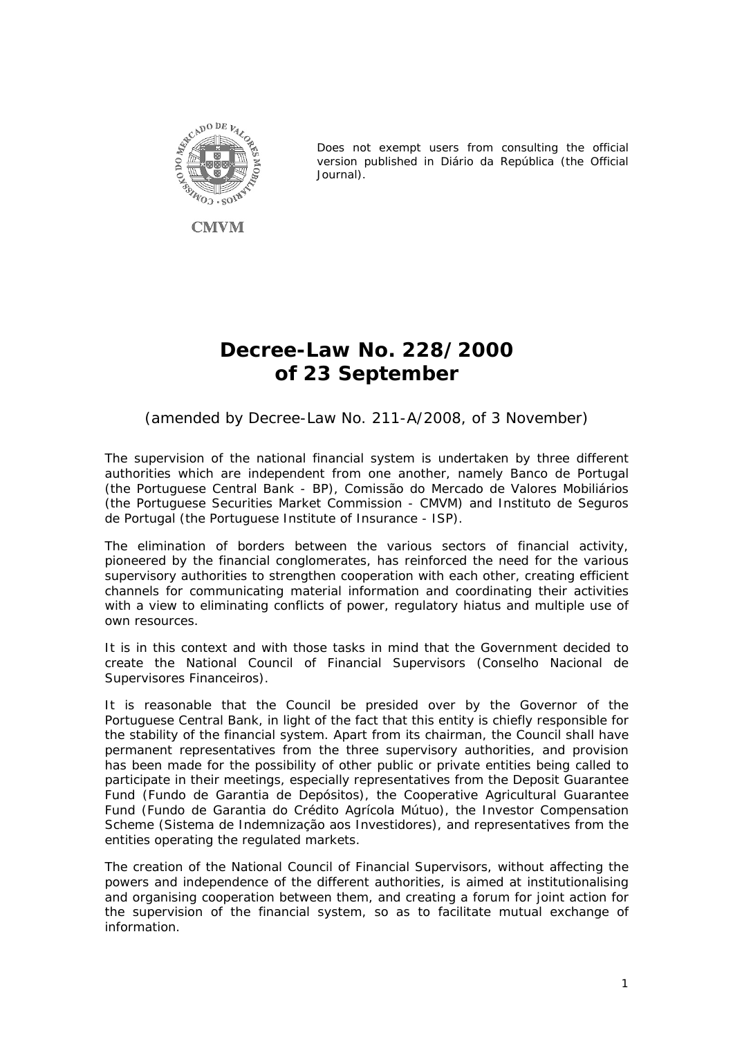

**CMVM** 

*Does not exempt users from consulting the official version published in Diário da República (the Official Journal).* 

# **Decree-Law No. 228/2000 of 23 September**

# *(amended by Decree-Law No. 211-A/2008, of 3 November)*

The supervision of the national financial system is undertaken by three different authorities which are independent from one another, namely *Banco de Portugal* (the Portuguese Central Bank - BP), *Comissão do Mercado de Valores Mobiliários* (the Portuguese Securities Market Commission - CMVM) and *Instituto de Seguros de Portugal* (the Portuguese Institute of Insurance - ISP).

The elimination of borders between the various sectors of financial activity, pioneered by the financial conglomerates, has reinforced the need for the various supervisory authorities to strengthen cooperation with each other, creating efficient channels for communicating material information and coordinating their activities with a view to eliminating conflicts of power, regulatory hiatus and multiple use of own resources.

It is in this context and with those tasks in mind that the Government decided to create the National Council of Financial Supervisors *(Conselho Nacional de Supervisores Financeiros)*.

It is reasonable that the Council be presided over by the Governor of the Portuguese Central Bank, in light of the fact that this entity is chiefly responsible for the stability of the financial system. Apart from its chairman, the Council shall have permanent representatives from the three supervisory authorities, and provision has been made for the possibility of other public or private entities being called to participate in their meetings, especially representatives from the Deposit Guarantee Fund (*Fundo de Garantia de Depósitos*), the Cooperative Agricultural Guarantee Fund (*Fundo de Garantia do Crédito Agrícola Mútuo*), the Investor Compensation Scheme (*Sistema de Indemnização aos Investidores*), and representatives from the entities operating the regulated markets.

The creation of the National Council of Financial Supervisors, without affecting the powers and independence of the different authorities, is aimed at institutionalising and organising cooperation between them, and creating a forum for joint action for the supervision of the financial system, so as to facilitate mutual exchange of information.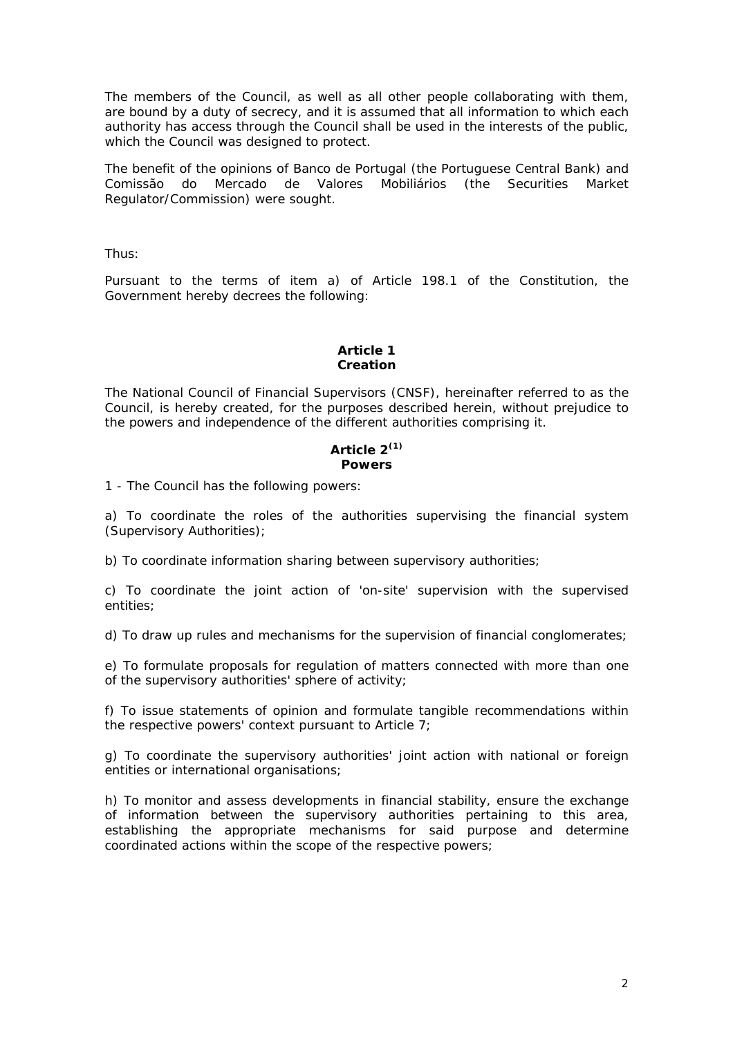The members of the Council, as well as all other people collaborating with them, are bound by a duty of secrecy, and it is assumed that all information to which each authority has access through the Council shall be used in the interests of the public, which the Council was designed to protect.

The benefit of the opinions of *Banco de Portugal* (the Portuguese Central Bank) and *Comissão do Mercado de Valores Mobiliários* (the Securities Market Regulator/Commission) were sought.

Thus:

Pursuant to the terms of item a) of Article 198.1 of the Constitution, the Government hereby decrees the following:

### **Article 1 Creation**

The National Council of Financial Supervisors (CNSF), hereinafter referred to as the Council, is hereby created, for the purposes described herein, without prejudice to the powers and independence of the different authorities comprising it.

#### **Article 2(1) Powers**

1 - The Council has the following powers:

a) To coordinate the roles of the authorities supervising the financial system (Supervisory Authorities);

b) To coordinate information sharing between supervisory authorities;

c) To coordinate the joint action of 'on-site' supervision with the supervised entities;

d) To draw up rules and mechanisms for the supervision of financial conglomerates;

e) To formulate proposals for regulation of matters connected with more than one of the supervisory authorities' sphere of activity;

f) To issue statements of opinion and formulate tangible recommendations within the respective powers' context pursuant to Article 7;

g) To coordinate the supervisory authorities' joint action with national or foreign entities or international organisations;

h) To monitor and assess developments in financial stability, ensure the exchange of information between the supervisory authorities pertaining to this area, establishing the appropriate mechanisms for said purpose and determine coordinated actions within the scope of the respective powers;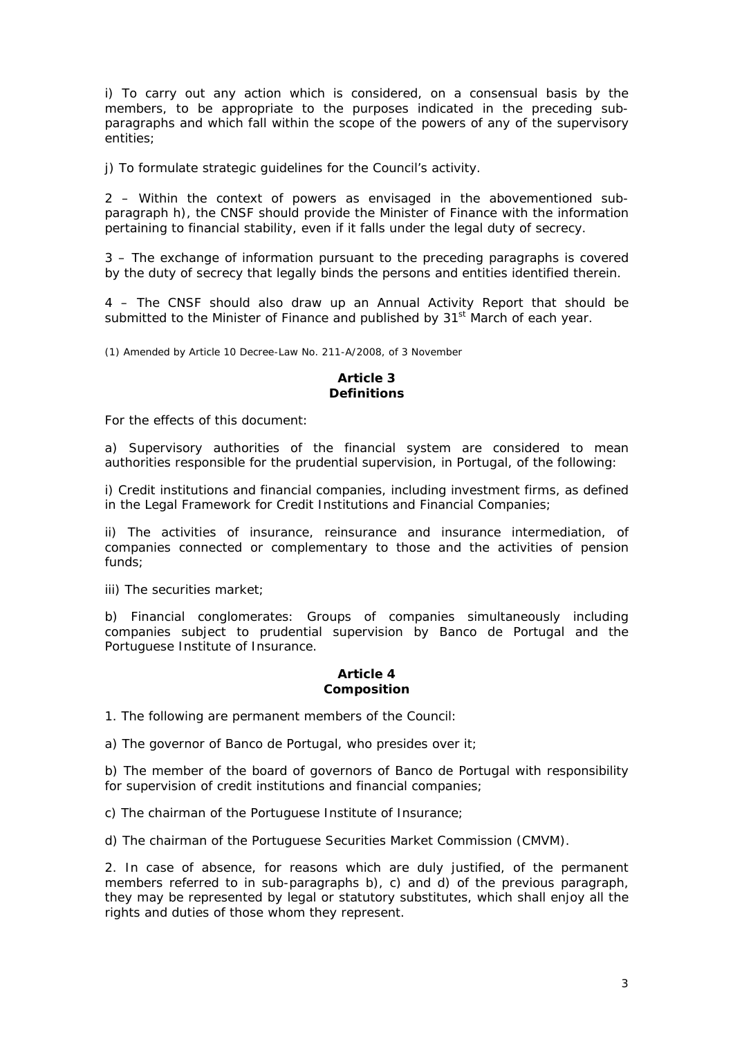i) To carry out any action which is considered, on a consensual basis by the members, to be appropriate to the purposes indicated in the preceding subparagraphs and which fall within the scope of the powers of any of the supervisory entities;

j) To formulate strategic guidelines for the Council's activity.

2 – Within the context of powers as envisaged in the abovementioned subparagraph h), the CNSF should provide the Minister of Finance with the information pertaining to financial stability, even if it falls under the legal duty of secrecy.

3 – The exchange of information pursuant to the preceding paragraphs is covered by the duty of secrecy that legally binds the persons and entities identified therein.

4 – The CNSF should also draw up an Annual Activity Report that should be submitted to the Minister of Finance and published by  $31<sup>st</sup>$  March of each year.

(1) Amended by Article 10 Decree-Law No. 211-A/2008, of 3 November

#### **Article 3 Definitions**

For the effects of this document:

a) Supervisory authorities of the financial system are considered to mean authorities responsible for the prudential supervision, in Portugal, of the following:

i) Credit institutions and financial companies, including investment firms, as defined in the Legal Framework for Credit Institutions and Financial Companies;

ii) The activities of insurance, reinsurance and insurance intermediation, of companies connected or complementary to those and the activities of pension funds;

iii) The securities market;

b) Financial conglomerates: Groups of companies simultaneously including companies subject to prudential supervision by Banco de Portugal and the Portuguese Institute of Insurance.

#### **Article 4 Composition**

1. The following are permanent members of the Council:

a) The governor of Banco de Portugal, who presides over it;

b) The member of the board of governors of Banco de Portugal with responsibility for supervision of credit institutions and financial companies;

c) The chairman of the Portuguese Institute of Insurance;

d) The chairman of the Portuguese Securities Market Commission (CMVM).

2. In case of absence, for reasons which are duly justified, of the permanent members referred to in sub-paragraphs b), c) and d) of the previous paragraph, they may be represented by legal or statutory substitutes, which shall enjoy all the rights and duties of those whom they represent.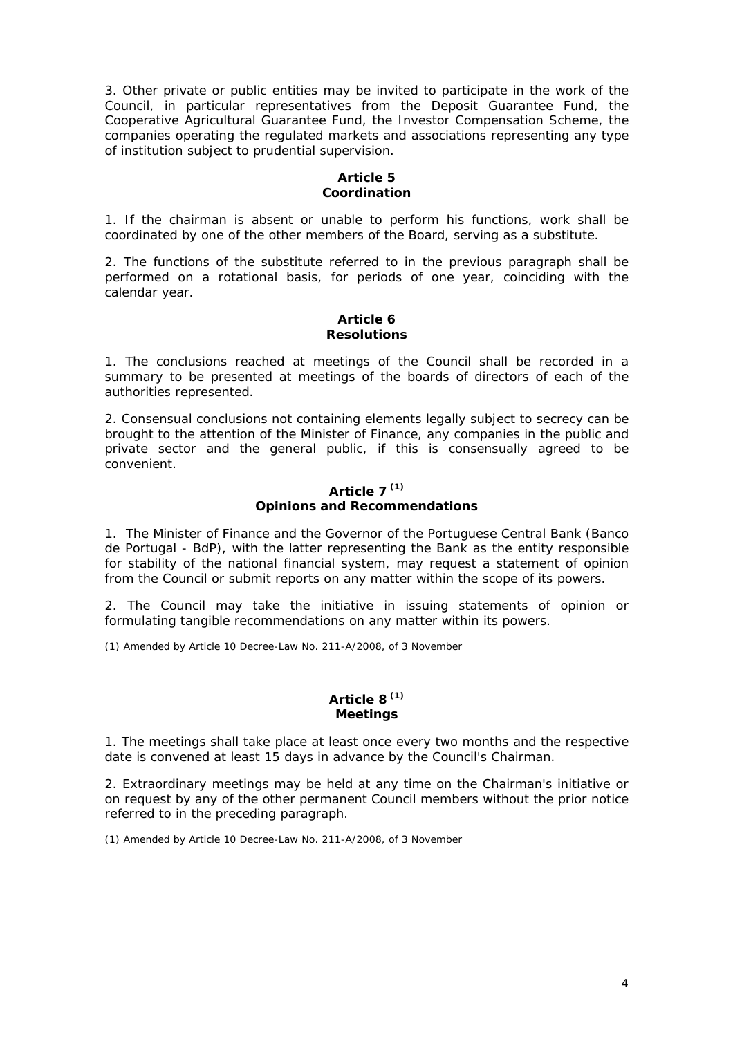3. Other private or public entities may be invited to participate in the work of the Council, in particular representatives from the Deposit Guarantee Fund, the Cooperative Agricultural Guarantee Fund, the Investor Compensation Scheme, the companies operating the regulated markets and associations representing any type of institution subject to prudential supervision.

## **Article 5 Coordination**

1. If the chairman is absent or unable to perform his functions, work shall be coordinated by one of the other members of the Board, serving as a substitute.

2. The functions of the substitute referred to in the previous paragraph shall be performed on a rotational basis, for periods of one year, coinciding with the calendar year.

#### **Article 6 Resolutions**

1. The conclusions reached at meetings of the Council shall be recorded in a summary to be presented at meetings of the boards of directors of each of the authorities represented.

2. Consensual conclusions not containing elements legally subject to secrecy can be brought to the attention of the Minister of Finance, any companies in the public and private sector and the general public, if this is consensually agreed to be convenient.

#### **Article 7 (1) Opinions and Recommendations**

1. The Minister of Finance and the Governor of the Portuguese Central Bank (*Banco de Portugal* - BdP), with the latter representing the Bank as the entity responsible for stability of the national financial system, may request a statement of opinion from the Council or submit reports on any matter within the scope of its powers.

2. The Council may take the initiative in issuing statements of opinion or formulating tangible recommendations on any matter within its powers.

(1) Amended by Article 10 Decree-Law No. 211-A/2008, of 3 November

# **Article 8 (1) Meetings**

1. The meetings shall take place at least once every two months and the respective date is convened at least 15 days in advance by the Council's Chairman.

2. Extraordinary meetings may be held at any time on the Chairman's initiative or on request by any of the other permanent Council members without the prior notice referred to in the preceding paragraph.

(1) Amended by Article 10 Decree-Law No. 211-A/2008, of 3 November